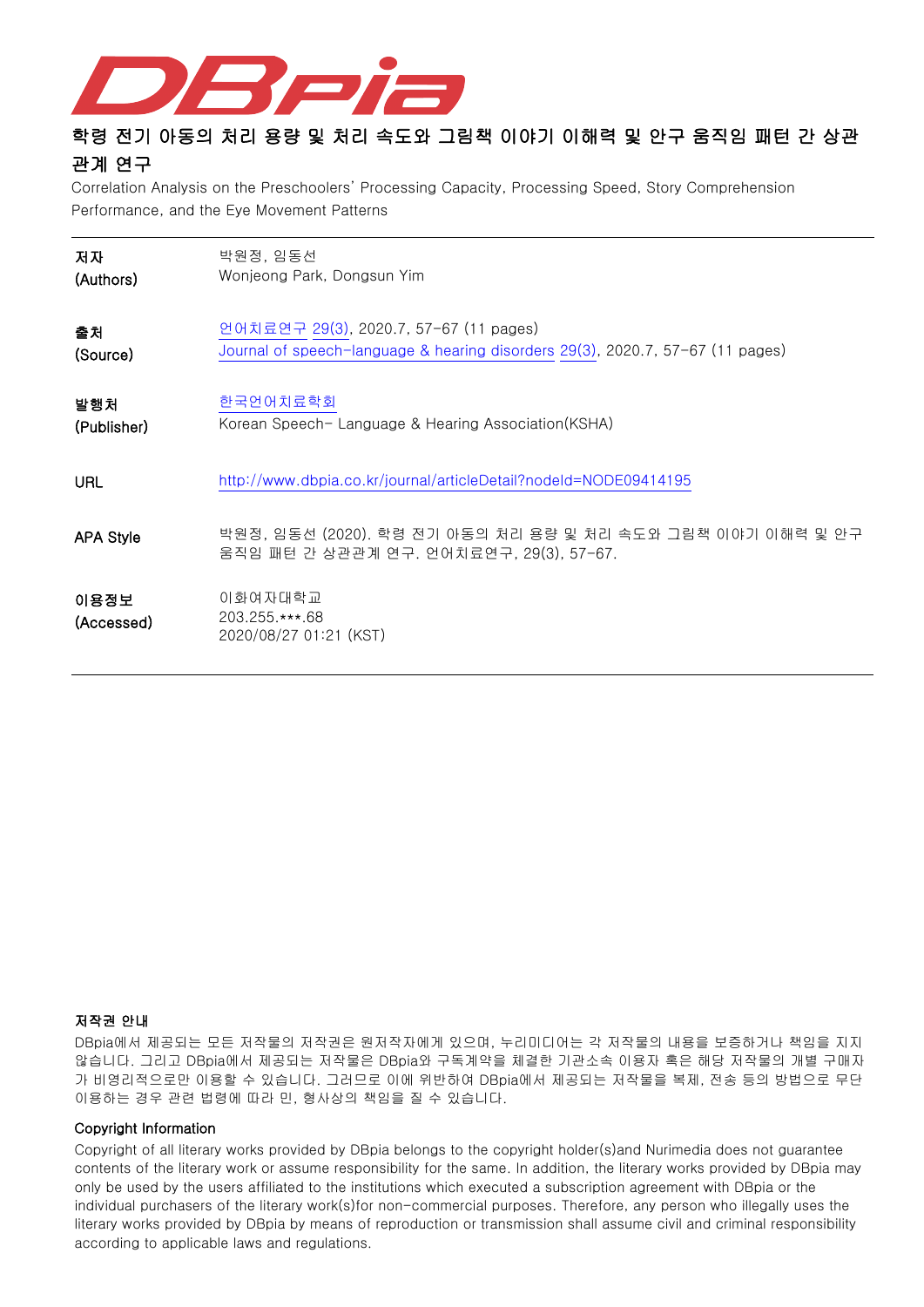

# 학령 전기 아동의 처리 용량 및 처리 속도와 그림책 이야기 이해력 및 안구 움직임 패턴 간 상관 관계 연구

Correlation Analysis on the Preschoolers' Processing Capacity, Processing Speed, Story Comprehension Performance, and the Eye Movement Patterns

| 저자                 | 박원정, 임동선                                                                                              |
|--------------------|-------------------------------------------------------------------------------------------------------|
| (Authors)          | Wonjeong Park, Dongsun Yim                                                                            |
| 출처                 | 언어치료연구 29(3), 2020.7, 57-67 (11 pages)                                                                |
| (Source)           | Journal of speech-language & hearing disorders 29(3), 2020.7, 57-67 (11 pages)                        |
| 발행처                | 한국언어치료학회                                                                                              |
| (Publisher)        | Korean Speech-Language & Hearing Association(KSHA)                                                    |
| URL                | http://www.dbpia.co.kr/journal/articleDetail?nodeId=NODE09414195                                      |
| <b>APA Style</b>   | 박원정, 임동선 (2020). 학령 전기 아동의 처리 용량 및 처리 속도와 그림책 이야기 이해력 및 안구<br>움직임 패턴 간 상관관계 연구. 언어치료연구, 29(3), 57-67. |
| 이용정보<br>(Accessed) | 이화여자대학교<br>203.255.***.68<br>2020/08/27 01:21 (KST)                                                   |

## 저작권 안내

DBpia에서 제공되는 모든 저작물의 저작권은 원저작자에게 있으며, 누리미디어는 각 저작물의 내용을 보증하거나 책임을 지지 않습니다. 그리고 DBpia에서 제공되는 저작물은 DBpia와 구독계약을 체결한 기관소속 이용자 혹은 해당 저작물의 개별 구매자 가 비영리적으로만 이용할 수 있습니다. 그러므로 이에 위반하여 DBpia에서 제공되는 저작물을 복제, 전송 등의 방법으로 무단 이용하는 경우 관련 법령에 따라 민, 형사상의 책임을 질 수 있습니다.

### Copyright Information

Copyright of all literary works provided by DBpia belongs to the copyright holder(s)and Nurimedia does not guarantee contents of the literary work or assume responsibility for the same. In addition, the literary works provided by DBpia may only be used by the users affiliated to the institutions which executed a subscription agreement with DBpia or the individual purchasers of the literary work(s)for non-commercial purposes. Therefore, any person who illegally uses the literary works provided by DBpia by means of reproduction or transmission shall assume civil and criminal responsibility according to applicable laws and regulations.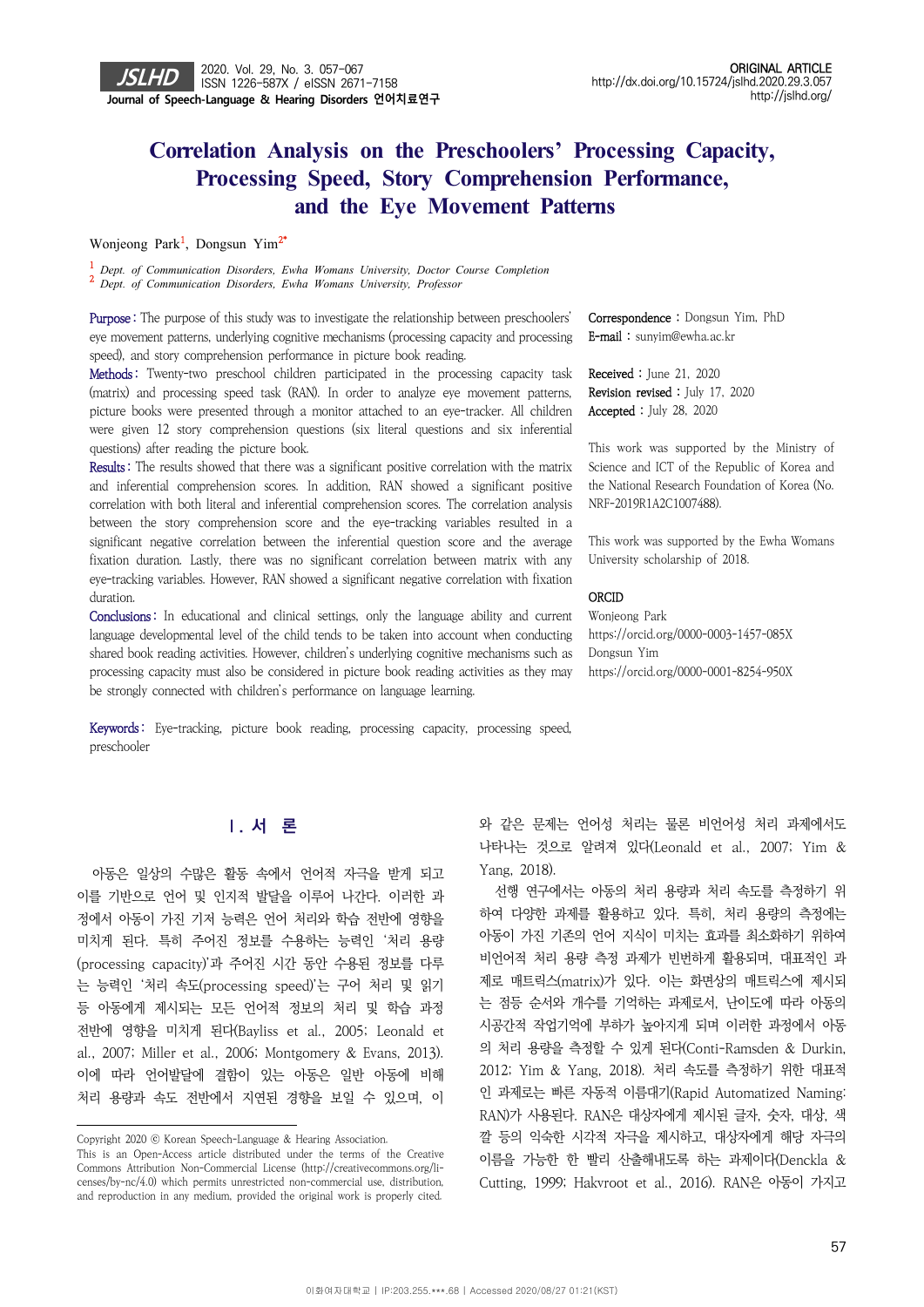# **Correlation Analysis on the Preschoolers' Processing Capacity, Processing Speed, Story Comprehension Performance,** and the Eye Movement Patterns

Wonjeong Park<sup>1</sup>, Dongsun Yim<sup>2\*</sup>

<sup>1</sup> Dept. of Communication Disorders, Ewha Womans University, Doctor Course Completion *Dept. of Communication Disorders, Ewha Womans University, Doctor Course Completion* <sup>2</sup> *Dept. of Communication Disorders, Ewha Womans University, Professor*

Purpose: The purpose of this study was to investigate the relationship between preschoolers' eye movement patterns, underlying cognitive mechanisms (processing capacity and processing speed), and story comprehension performance in picture book reading.

Methods: Twenty-two preschool children participated in the processing capacity task (matrix) and processing speed task (RAN). In order to analyze eye movement patterns, picture books were presented through a monitor attached to an eye-tracker. All children were given 12 story comprehension questions (six literal questions and six inferential questions) after reading the picture book.

Results : The results showed that there was a significant positive correlation with the matrix and inferential comprehension scores. In addition, RAN showed a significant positive correlation with both literal and inferential comprehension scores. The correlation analysis between the story comprehension score and the eye-tracking variables resulted in a significant negative correlation between the inferential question score and the average fixation duration. Lastly, there was no significant correlation between matrix with any eye-tracking variables. However, RAN showed a significant negative correlation with fixation duration.

Conclusions: In educational and clinical settings, only the language ability and current language developmental level of the child tends to be taken into account when conducting shared book reading activities. However, children's underlying cognitive mechanisms such as processing capacity must also be considered in picture book reading activities as they may be strongly connected with children's performance on language learning.

Keywords: Eye-tracking, picture book reading, processing capacity, processing speed,

Correspondence : Dongsun Yim, PhD E-mail : sunyim@ewha.ac.kr

Received : June 21, 2020 Revision revised : July 17, 2020 Accepted : July 28, 2020

This work was supported by the Ministry of Science and ICT of the Republic of Korea and the National Research Foundation of Korea (No. NRF-2019R1A2C1007488).

This work was supported by the Ewha Womans University scholarship of 2018.

#### **ORCID**

Wonjeong Park https://orcid.org/0000-0003-1457-085X Dongsun Yim https://orcid.org/0000-0001-8254-950X

preschooler

## **Ⅰ. 서 론**

아동은 일상의 수많은 활동 속에서 언어적 자극을 받게 되고 이를 기반으로 언어 및 인지적 발달을 이루어 나간다. 이러한 과 정에서 아동이 가진 기저 능력은 언어 처리와 학습 전반에 영향을 미치게 된다. 특히 주어진 정보를 수용하는 능력인 '처리 용량 (processing capacity)'과 주어진 시간 동안 수용된 정보를 다루 는 능력인 '처리 속도(processing speed)'는 구어 처리 및 읽기 등 아동에게 제시되는 모든 언어적 정보의 처리 및 학습 과정 전반에 영향을 미치게 된다(Bayliss et al., 2005; Leonald et al., 2007; Miller et al., 2006; Montgomery & Evans, 2013). 이에 따라 언어발달에 결함이 있는 아동은 일반 아동에 비해 처리 용량과 속도 전반에서 지연된 경향을 보일 수 있으며, 이

와 같은 문제는 언어성 처리는 물론 비언어성 처리 과제에서도 나타나는 것으로 알려져 있다(Leonald et al., 2007; Yim & Yang, 2018).

선행 연구에서는 아동의 처리 용량과 처리 속도를 측정하기 위 하여 다양한 과제를 활용하고 있다. 특히, 처리 용량의 측정에는 아동이 가진 기존의 언어 지식이 미치는 효과를 최소화하기 위하여 비언어적 처리 용량 측정 과제가 빈번하게 활용되며, 대표적인 과 제로 매트릭스(matrix)가 있다. 이는 화면상의 매트릭스에 제시되 는 점등 순서와 개수를 기억하는 과제로서, 난이도에 따라 아동의 시공간적 작업기억에 부하가 높아지게 되며 이러한 과정에서 아동 의 처리 용량을 측정할 수 있게 된다(Conti-Ramsden & Durkin, 2012; Yim & Yang, 2018). 처리 속도를 측정하기 위한 대표적 인 과제로는 빠른 자동적 이름대기(Rapid Automatized Naming: RAN)가 사용된다. RAN은 대상자에게 제시된 글자, 숫자, 대상, 색 깔 등의 익숙한 시각적 자극을 제시하고, 대상자에게 해당 자극의 이름을 가능한 한 빨리 산출해내도록 하는 과제이다(Denckla & Cutting, 1999; Hakvroot et al., 2016). RAN은 아동이 가지고

Copyright 2020 ⓒ Korean Speech-Language & Hearing Association.

This is an Open-Access article distributed under the terms of the Creative Commons Attribution Non-Commercial License (http://creativecommons.org/licenses/by-nc/4.0) which permits unrestricted non-commercial use, distribution, and reproduction in any medium, provided the original work is properly cited.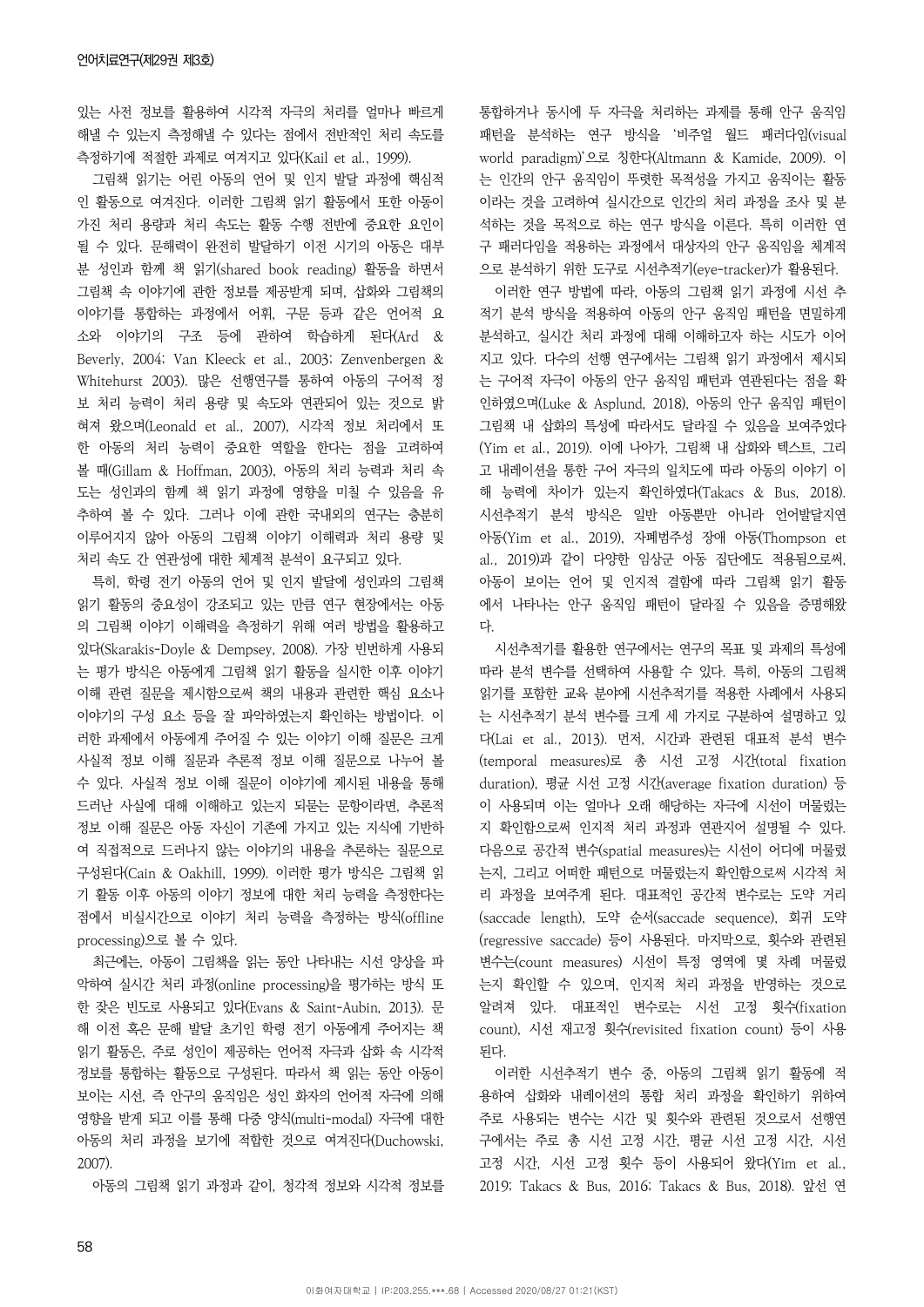있는 사전 정보를 활용하여 시각적 자극의 처리를 얼마나 빠르게 해낼 수 있는지 측정해낼 수 있다는 점에서 전반적인 처리 속도를 측정하기에 적절한 과제로 여겨지고 있다(Kail et al., 1999).

그림책 읽기는 어린 아동의 언어 및 인지 발달 과정에 핵심적 인 활동으로 여겨진다. 이러한 그림책 읽기 활동에서 또한 아동이 가진 처리 용량과 처리 속도는 활동 수행 전반에 중요한 요인이 될 수 있다. 문해력이 완전히 발달하기 이전 시기의 아동은 대부 분 성인과 함께 책 읽기(shared book reading) 활동을 하면서 그림책 속 이야기에 관한 정보를 제공받게 되며, 삽화와 그림책의 이야기를 통합하는 과정에서 어휘, 구문 등과 같은 언어적 요 소와 이야기의 구조 등에 관하여 학습하게 된다(Ard & Beverly, 2004; Van Kleeck et al., 2003; Zenvenbergen & Whitehurst 2003). 많은 선행연구를 통하여 아동의 구어적 정 보 처리 능력이 처리 용량 및 속도와 연관되어 있는 것으로 밝 혀져 왔으며(Leonald et al., 2007), 시각적 정보 처리에서 또 한 아동의 처리 능력이 중요한 역할을 한다는 점을 고려하여 볼 때(Gillam & Hoffman, 2003), 아동의 처리 능력과 처리 속 도는 성인과의 함께 책 읽기 과정에 영향을 미칠 수 있음을 유 추하여 볼 수 있다. 그러나 이에 관한 국내외의 연구는 충분히 이루어지지 않아 아동의 그림책 이야기 이해력과 처리 용량 및 처리 속도 간 연관성에 대한 체계적 분석이 요구되고 있다.

특히, 학령 전기 아동의 언어 및 인지 발달에 성인과의 그림책 읽기 활동의 중요성이 강조되고 있는 만큼 연구 현장에서는 아동 의 그림책 이야기 이해력을 측정하기 위해 여러 방법을 활용하고 있다(Skarakis-Doyle & Dempsey, 2008). 가장 빈번하게 사용되 는 평가 방식은 아동에게 그림책 읽기 활동을 실시한 이후 이야기 이해 관련 질문을 제시함으로써 책의 내용과 관련한 핵심 요소나 이야기의 구성 요소 등을 잘 파악하였는지 확인하는 방법이다. 이 러한 과제에서 아동에게 주어질 수 있는 이야기 이해 질문은 크게 사실적 정보 이해 질문과 추론적 정보 이해 질문으로 나누어 볼 수 있다. 사실적 정보 이해 질문이 이야기에 제시된 내용을 통해 드러난 사실에 대해 이해하고 있는지 되묻는 문항이라면, 추론적 정보 이해 질문은 아동 자신이 기존에 가지고 있는 지식에 기반하 여 직접적으로 드러나지 않는 이야기의 내용을 추론하는 질문으로 구성된다(Cain & Oakhill, 1999). 이러한 평가 방식은 그림책 읽 기 활동 이후 아동의 이야기 정보에 대한 처리 능력을 측정한다는 점에서 비실시간으로 이야기 처리 능력을 측정하는 방식(offline processing)으로 볼 수 있다.

최근에는, 아동이 그림책을 읽는 동안 나타내는 시선 양상을 파 악하여 실시간 처리 과정(online processing)을 평가하는 방식 또 한 잦은 빈도로 사용되고 있다(Evans & Saint-Aubin, 2013). 문 해 이전 혹은 문해 발달 초기인 학령 전기 아동에게 주어지는 책 읽기 활동은, 주로 성인이 제공하는 언어적 자극과 삽화 속 시각적 정보를 통합하는 활동으로 구성된다. 따라서 책 읽는 동안 아동이 보이는 시선, 즉 안구의 움직임은 성인 화자의 언어적 자극에 의해 영향을 받게 되고 이를 통해 다중 양식(multi-modal) 자극에 대한 아동의 처리 과정을 보기에 적합한 것으로 여겨진다(Duchowski, 2007).

아동의 그림책 읽기 과정과 같이, 청각적 정보와 시각적 정보를

통합하거나 동시에 두 자극을 처리하는 과제를 통해 안구 움직임 패턴을 분석하는 연구 방식을 '비주얼 월드 패러다임(visual world paradigm)'으로 칭한다(Altmann & Kamide, 2009). 이 는 인간의 안구 움직임이 뚜렷한 목적성을 가지고 움직이는 활동 이라는 것을 고려하여 실시간으로 인간의 처리 과정을 조사 및 분 석하는 것을 목적으로 하는 연구 방식을 이른다. 특히 이러한 연 구 패러다임을 적용하는 과정에서 대상자의 안구 움직임을 체계적 으로 분석하기 위한 도구로 시선추적기(eye-tracker)가 활용된다.

이러한 연구 방법에 따라, 아동의 그림책 읽기 과정에 시선 추 적기 분석 방식을 적용하여 아동의 안구 움직임 패턴을 면밀하게 분석하고, 실시간 처리 과정에 대해 이해하고자 하는 시도가 이어 지고 있다. 다수의 선행 연구에서는 그림책 읽기 과정에서 제시되 는 구어적 자극이 아동의 안구 움직임 패턴과 연관된다는 점을 확 인하였으며(Luke & Asplund, 2018), 아동의 안구 움직임 패턴이 그림책 내 삽화의 특성에 따라서도 달라질 수 있음을 보여주었다 (Yim et al., 2019). 이에 나아가, 그림책 내 삽화와 텍스트, 그리 고 내레이션을 통한 구어 자극의 일치도에 따라 아동의 이야기 이 해 능력에 차이가 있는지 확인하였다(Takacs & Bus, 2018). 시선추적기 분석 방식은 일반 아동뿐만 아니라 언어발달지연 아동(Yim et al., 2019), 자폐범주성 장애 아동(Thompson et al., 2019)과 같이 다양한 임상군 아동 집단에도 적용됨으로써, 아동이 보이는 언어 및 인지적 결함에 따라 그림책 읽기 활동 에서 나타나는 안구 움직임 패턴이 달라질 수 있음을 증명해왔 다.

시선추적기를 활용한 연구에서는 연구의 목표 및 과제의 특성에 따라 분석 변수를 선택하여 사용할 수 있다. 특히, 아동의 그림책 읽기를 포함한 교육 분야에 시선추적기를 적용한 사례에서 사용되 는 시선추적기 분석 변수를 크게 세 가지로 구분하여 설명하고 있 다(Lai et al., 2013). 먼저, 시간과 관련된 대표적 분석 변수 (temporal measures)로 총 시선 고정 시간(total fixation duration), 평균 시선 고정 시간(average fixation duration) 등 이 사용되며 이는 얼마나 오래 해당하는 자극에 시선이 머물렀는 지 확인함으로써 인지적 처리 과정과 연관지어 설명될 수 있다. 다음으로 공간적 변수(spatial measures)는 시선이 어디에 머물렀 는지, 그리고 어떠한 패턴으로 머물렀는지 확인함으로써 시각적 처 리 과정을 보여주게 된다. 대표적인 공간적 변수로는 도약 거리 (saccade length), 도약 순서(saccade sequence), 회귀 도약 (regressive saccade) 등이 사용된다. 마지막으로, 횟수와 관련된 변수는(count measures) 시선이 특정 영역에 몇 차례 머물렀 는지 확인할 수 있으며, 인지적 처리 과정을 반영하는 것으로 알려져 있다. 대표적인 변수로는 시선 고정 횟수(fixation count), 시선 재고정 횟수(revisited fixation count) 등이 사용 된다.

이러한 시선추적기 변수 중, 아동의 그림책 읽기 활동에 적 용하여 삽화와 내레이션의 통합 처리 과정을 확인하기 위하여 주로 사용되는 변수는 시간 및 횟수와 관련된 것으로서 선행연 구에서는 주로 총 시선 고정 시간, 평균 시선 고정 시간, 시선 고정 시간, 시선 고정 횟수 등이 사용되어 왔다(Yim et al., 2019; Takacs & Bus, 2016; Takacs & Bus, 2018). 앞선 연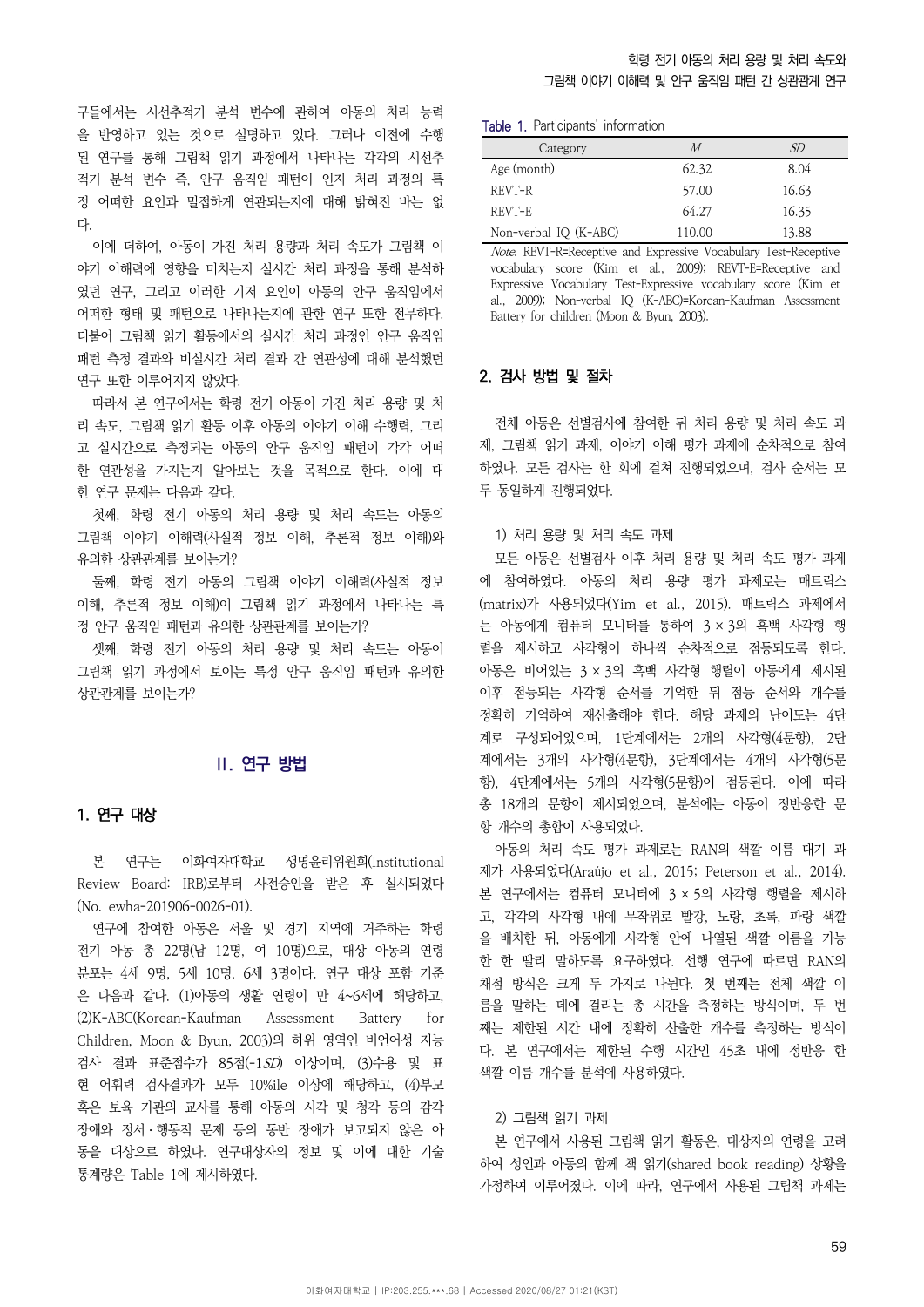구들에서는 시선추적기 분석 변수에 관하여 아동의 처리 능력 을 반영하고 있는 것으로 설명하고 있다. 그러나 이전에 수행 된 연구를 통해 그림책 읽기 과정에서 나타나는 각각의 시선추 적기 분석 변수 즉, 안구 움직임 패턴이 인지 처리 과정의 특 정 어떠한 요인과 밀접하게 연관되는지에 대해 밝혀진 바는 없 다.

이에 더하여, 아동이 가진 처리 용량과 처리 속도가 그림책 이 야기 이해력에 영향을 미치는지 실시간 처리 과정을 통해 분석하 였던 연구, 그리고 이러한 기저 요인이 아동의 안구 움직임에서 어떠한 형태 및 패턴으로 나타나는지에 관한 연구 또한 전무하다. 더불어 그림책 읽기 활동에서의 실시간 처리 과정인 안구 움직임 패턴 측정 결과와 비실시간 처리 결과 간 연관성에 대해 분석했던 연구 또한 이루어지지 않았다.

따라서 본 연구에서는 학령 전기 아동이 가진 처리 용량 및 처 리 속도, 그림책 읽기 활동 이후 아동의 이야기 이해 수행력, 그리 고 실시간으로 측정되는 아동의 안구 움직임 패턴이 각각 어떠 한 연관성을 가지는지 알아보는 것을 목적으로 한다. 이에 대 한 연구 문제는 다음과 같다.

첫째, 학령 전기 아동의 처리 용량 및 처리 속도는 아동의 그림책 이야기 이해력(사실적 정보 이해, 추론적 정보 이해)와 유의한 상관관계를 보이는가?

둘째, 학령 전기 아동의 그림책 이야기 이해력(사실적 정보 이해, 추론적 정보 이해)이 그림책 읽기 과정에서 나타나는 특 정 안구 움직임 패턴과 유의한 상관관계를 보이는가?

셋째, 학령 전기 아동의 처리 용량 및 처리 속도는 아동이 그림책 읽기 과정에서 보이는 특정 안구 움직임 패턴과 유의한 상관관계를 보이는가?

## **Ⅱ. 연구 방법**

### 1. 연구 대상

본 연구는 이화여자대학교 생명윤리위원회(Institutional Review Board: IRB)로부터 사전승인을 받은 후 실시되었다 (No. ewha-201906-0026-01).

연구에 참여한 아동은 서울 및 경기 지역에 거주하는 학령 전기 아동 총 22명(남 12명, 여 10명)으로, 대상 아동의 연령 분포는 4세 9명, 5세 10명, 6세 3명이다. 연구 대상 포함 기준 은 다음과 같다. (1)아동의 생활 연령이 만 4~6세에 해당하고, (2)K-ABC(Korean-Kaufman Assessment Battery for Children, Moon & Byun, 2003)의 하위 영역인 비언어성 지능 검사 결과 표준점수가 85점(-1SD) 이상이며, (3)수용 및 표 현 어휘력 검사결과가 모두 10%ile 이상에 해당하고, (4)부모 혹은 보육 기관의 교사를 통해 아동의 시각 및 청각 등의 감각 장애와 정서ㆍ행동적 문제 등의 동반 장애가 보고되지 않은 아 동을 대상으로 하였다. 연구대상자의 정보 및 이에 대한 기술 통계량은 Table 1에 제시하였다.

Table 1. Participants' information

| Category              | M      | SD    |
|-----------------------|--------|-------|
| Age (month)           | 62.32  | 8.04  |
| REVT-R                | 57.00  | 16.63 |
| REVT-E                | 64.27  | 16.35 |
| Non-verbal IQ (K-ABC) | 110.00 | 13.88 |

Note. REVT-R=Receptive and Expressive Vocabulary Test-Receptive vocabulary score (Kim et al., 2009); REVT-E=Receptive and Expressive Vocabulary Test-Expressive vocabulary score (Kim et al., 2009); Non-verbal IQ (K-ABC)=Korean-Kaufman Assessment Battery for children (Moon & Byun, 2003).

#### 2. 검사 방법 및 절차

전체 아동은 선별검사에 참여한 뒤 처리 용량 및 처리 속도 과 제, 그림책 읽기 과제, 이야기 이해 평가 과제에 순차적으로 참여 하였다. 모든 검사는 한 회에 걸쳐 진행되었으며, 검사 순서는 모 두 동일하게 진행되었다.

#### 1) 처리 용량 및 처리 속도 과제

모든 아동은 선별검사 이후 처리 용량 및 처리 속도 평가 과제 에 참여하였다. 아동의 처리 용량 평가 과제로는 매트릭스 (matrix)가 사용되었다(Yim et al., 2015). 매트릭스 과제에서 는 아동에게 컴퓨터 모니터를 통하여 3 × 3의 흑백 사각형 행 렬을 제시하고 사각형이 하나씩 순차적으로 점등되도록 한다. 아동은 비어있는 3 × 3의 흑백 사각형 행렬이 아동에게 제시된 이후 점등되는 사각형 순서를 기억한 뒤 점등 순서와 개수를 정확히 기억하여 재산출해야 한다. 해당 과제의 난이도는 4단 계로 구성되어있으며, 1단계에서는 2개의 사각형(4문항), 2단 계에서는 3개의 사각형(4문항), 3단계에서는 4개의 사각형(5문 항), 4단계에서는 5개의 사각형(5문항)이 점등된다. 이에 따라 총 18개의 문항이 제시되었으며, 분석에는 아동이 정반응한 문 항 개수의 총합이 사용되었다.

아동의 처리 속도 평가 과제로는 RAN의 색깔 이름 대기 과 제가 사용되었다(Araújo et al., 2015; Peterson et al., 2014). 본 연구에서는 컴퓨터 모니터에 3 × 5의 사각형 행렬을 제시하 고, 각각의 사각형 내에 무작위로 빨강, 노랑, 초록, 파랑 색깔 을 배치한 뒤, 아동에게 사각형 안에 나열된 색깔 이름을 가능 한 한 빨리 말하도록 요구하였다. 선행 연구에 따르면 RAN의 채점 방식은 크게 두 가지로 나뉜다. 첫 번째는 전체 색깔 이 름을 말하는 데에 걸리는 총 시간을 측정하는 방식이며, 두 번 째는 제한된 시간 내에 정확히 산출한 개수를 측정하는 방식이 다. 본 연구에서는 제한된 수행 시간인 45초 내에 정반응 한 색깔 이름 개수를 분석에 사용하였다.

#### 2) 그림책 읽기 과제

본 연구에서 사용된 그림책 읽기 활동은, 대상자의 연령을 고려 하여 성인과 아동의 함께 책 읽기(shared book reading) 상황을 가정하여 이루어졌다. 이에 따라, 연구에서 사용된 그림책 과제는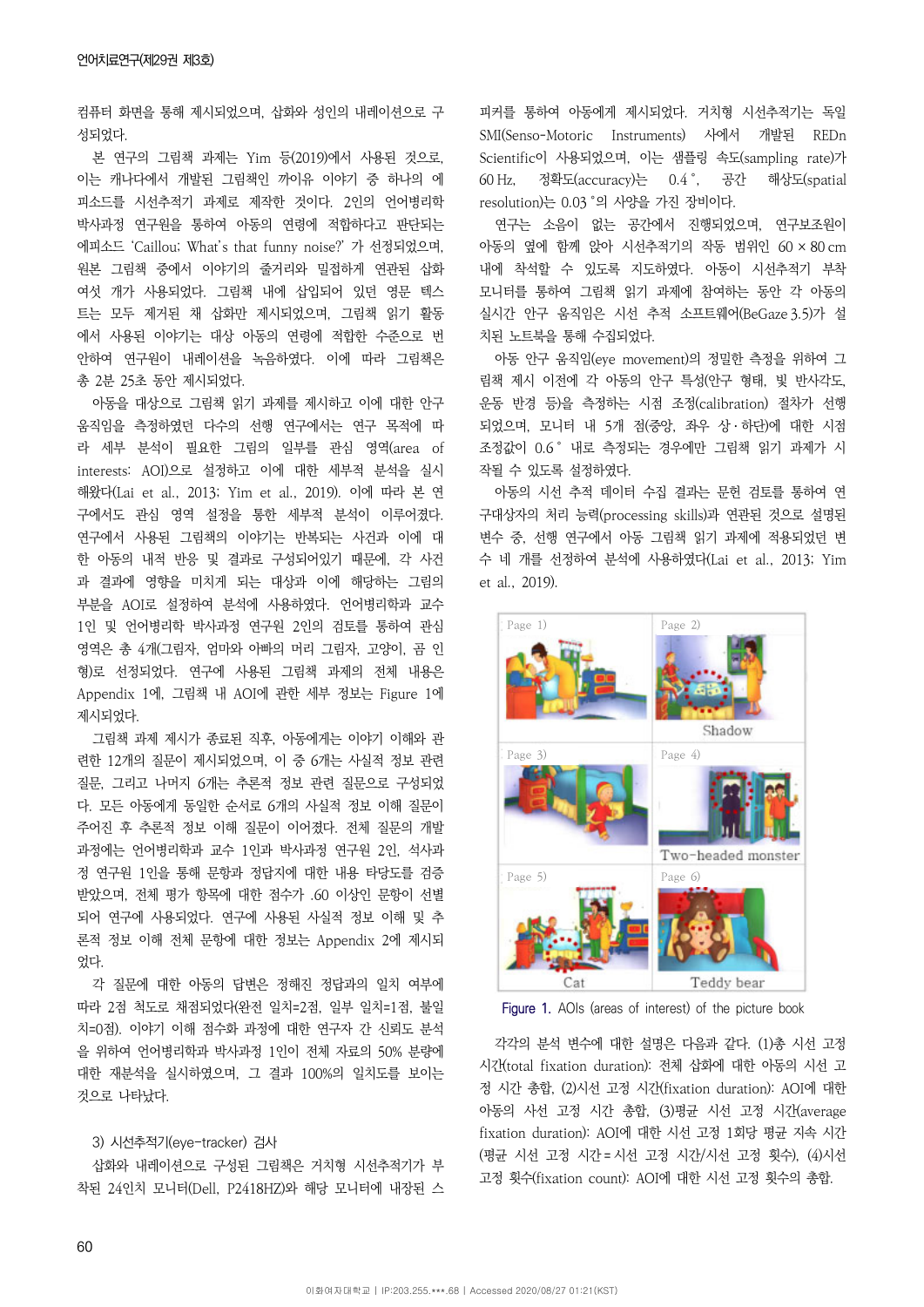컴퓨터 화면을 통해 제시되었으며, 삽화와 성인의 내레이션으로 구 성되었다.

본 연구의 그림책 과제는 Yim 등(2019)에서 사용된 것으로, 이는 캐나다에서 개발된 그림책인 까이유 이야기 중 하나의 에 피소드를 시선추적기 과제로 제작한 것이다. 2인의 언어병리학 박사과정 연구원을 통하여 아동의 연령에 적합하다고 판단되는 에피소드 'Caillou; What's that funny noise?' 가 선정되었으며, 원본 그림책 중에서 이야기의 줄거리와 밀접하게 연관된 삽화 여섯 개가 사용되었다. 그림책 내에 삽입되어 있던 영문 텍스 트는 모두 제거된 채 삽화만 제시되었으며, 그림책 읽기 활동 에서 사용된 이야기는 대상 아동의 연령에 적합한 수준으로 번 안하여 연구원이 내레이션을 녹음하였다. 이에 따라 그림책은 총 2분 25초 동안 제시되었다.

아동을 대상으로 그림책 읽기 과제를 제시하고 이에 대한 안구 움직임을 측정하였던 다수의 선행 연구에서는 연구 목적에 따 라 세부 분석이 필요한 그림의 일부를 관심 영역(area of interests: AOI)으로 설정하고 이에 대한 세부적 분석을 실시 해왔다(Lai et al., 2013; Yim et al., 2019). 이에 따라 본 연 구에서도 관심 영역 설정을 통한 세부적 분석이 이루어졌다. 연구에서 사용된 그림책의 이야기는 반복되는 사건과 이에 대 한 아동의 내적 반응 및 결과로 구성되어있기 때문에, 각 사건 과 결과에 영향을 미치게 되는 대상과 이에 해당하는 그림의 부분을 AOI로 설정하여 분석에 사용하였다. 언어병리학과 교수 1인 및 언어병리학 박사과정 연구원 2인의 검토를 통하여 관심 영역은 총 4개(그림자, 엄마와 아빠의 머리 그림자, 고양이, 곰 인 형)로 선정되었다. 연구에 사용된 그림책 과제의 전체 내용은 Appendix 1에, 그림책 내 AOI에 관한 세부 정보는 Figure 1에 제시되었다.

그림책 과제 제시가 종료된 직후, 아동에게는 이야기 이해와 관 련한 12개의 질문이 제시되었으며, 이 중 6개는 사실적 정보 관련 질문, 그리고 나머지 6개는 추론적 정보 관련 질문으로 구성되었 다. 모든 아동에게 동일한 순서로 6개의 사실적 정보 이해 질문이 주어진 후 추론적 정보 이해 질문이 이어졌다. 전체 질문의 개발 과정에는 언어병리학과 교수 1인과 박사과정 연구원 2인, 석사과 정 연구원 1인을 통해 문항과 정답지에 대한 내용 타당도를 검증 받았으며, 전체 평가 항목에 대한 점수가 .60 이상인 문항이 선별 되어 연구에 사용되었다. 연구에 사용된 사실적 정보 이해 및 추 론적 정보 이해 전체 문항에 대한 정보는 Appendix 2에 제시되 었다.

각 질문에 대한 아동의 답변은 정해진 정답과의 일치 여부에 따라 2점 척도로 채점되었다(완전 일치=2점, 일부 일치=1점, 불일 치=0점). 이야기 이해 점수화 과정에 대한 연구자 간 신뢰도 분석 을 위하여 언어병리학과 박사과정 1인이 전체 자료의 50% 분량에 대한 재분석을 실시하였으며, 그 결과 100%의 일치도를 보이는 것으로 나타났다.

### 3) 시선추적기(eye-tracker) 검사

삽화와 내레이션으로 구성된 그림책은 거치형 시선추적기가 부 착된 24인치 모니터(Dell, P2418HZ)와 해당 모니터에 내장된 스 피커를 통하여 아동에게 제시되었다. 거치형 시선추적기는 독일 SMI(Senso-Motoric Instruments) 사에서 개발된 REDn Scientific이 사용되었으며, 이는 샘플링 속도(sampling rate)가 60 Hz, 정확도(accuracy)는 0.4 °, 공간 해상도(spatial resolution)는 0.03 °의 사양을 가진 장비이다.

연구는 소음이 없는 공간에서 진행되었으며, 연구보조원이 아동의 옆에 함께 앉아 시선추적기의 작동 범위인 60 × 80 cm 내에 착석할 수 있도록 지도하였다. 아동이 시선추적기 부착 모니터를 통하여 그림책 읽기 과제에 참여하는 동안 각 아동의 실시간 안구 움직임은 시선 추적 소프트웨어(BeGaze 3.5)가 설 치된 노트북을 통해 수집되었다.

아동 안구 움직임(eye movement)의 정밀한 측정을 위하여 그 림책 제시 이전에 각 아동의 안구 특성(안구 형태, 빛 반사각도, 운동 반경 등)을 측정하는 시점 조정(calibration) 절차가 선행 되었으며, 모니터 내 5개 점(중앙, 좌우 상ㆍ하단)에 대한 시점 조정값이 0.6 ° 내로 측정되는 경우에만 그림책 읽기 과제가 시 작될 수 있도록 설정하였다.

아동의 시선 추적 데이터 수집 결과는 문헌 검토를 통하여 연 구대상자의 처리 능력(processing skills)과 연관된 것으로 설명된 변수 중, 선행 연구에서 아동 그림책 읽기 과제에 적용되었던 변 수 네 개를 선정하여 분석에 사용하였다(Lai et al., 2013; Yim et al., 2019).



Figure 1. AOIs (areas of interest) of the picture book

각각의 분석 변수에 대한 설명은 다음과 같다. (1)총 시선 고정 시간(total fixation duration): 전체 삽화에 대한 아동의 시선 고 정 시간 총합, (2)시선 고정 시간(fixation duration): AOI에 대한 아동의 사선 고정 시간 총합, (3)평균 시선 고정 시간(average fixation duration): AOI에 대한 시선 고정 1회당 평균 지속 시간 (평균 시선 고정 시간 = 시선 고정 시간/시선 고정 횟수), (4)시선 고정 횟수(fixation count): AOI에 대한 시선 고정 횟수의 총합.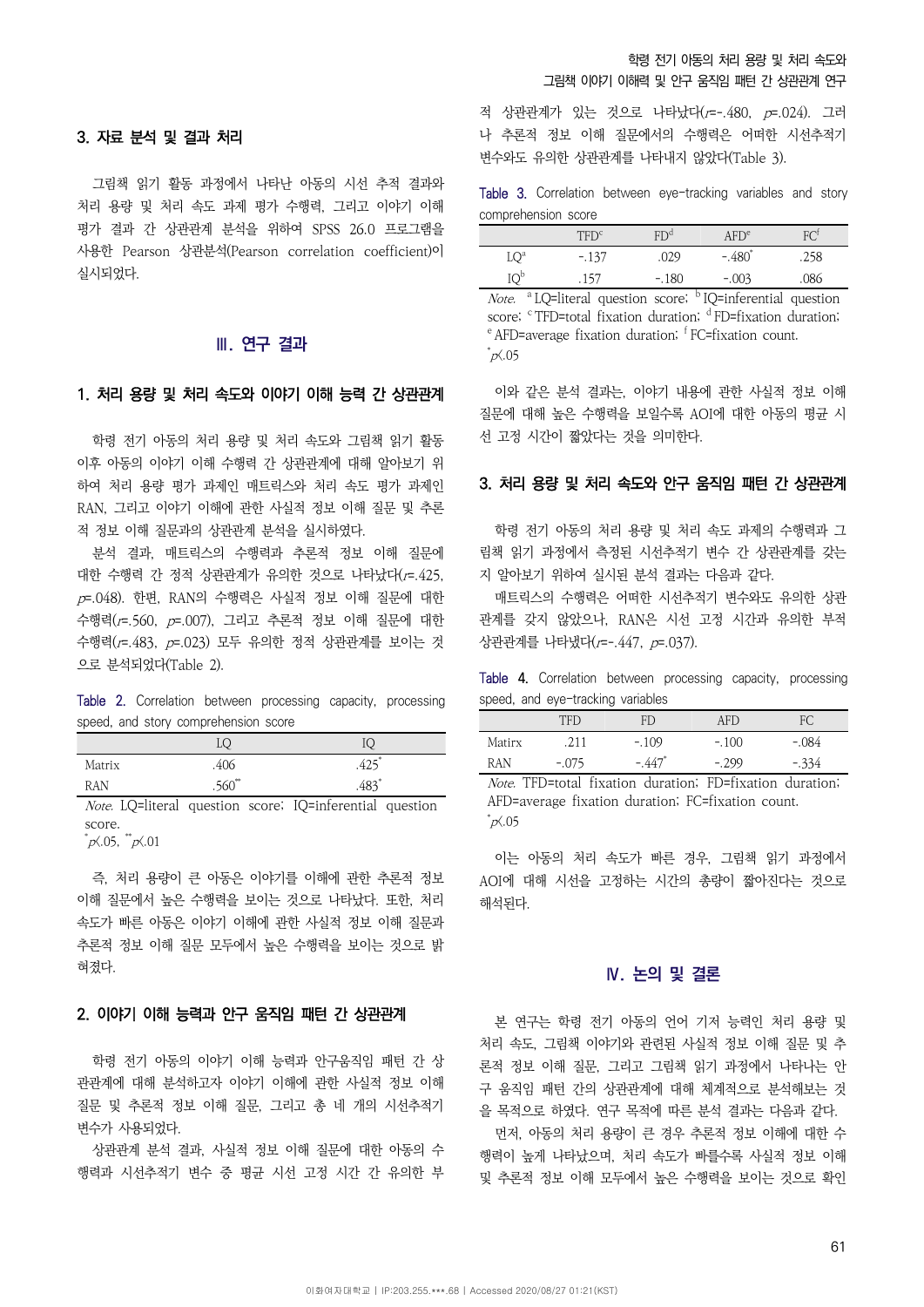## 학령 전기 아동의 처리 용량 및 처리 속도와 그림책 이야기 이해력 및 안구 움직임 패턴 간 상관관계 연구

### 3. 자료 분석 및 결과 처리

그림책 읽기 활동 과정에서 나타난 아동의 시선 추적 결과와 처리 용량 및 처리 속도 과제 평가 수행력, 그리고 이야기 이해 평가 결과 간 상관관계 분석을 위하여 SPSS 26.0 프로그램을 사용한 Pearson 상관분석(Pearson correlation coefficient)이 실시되었다.

### **Ⅲ. 연구 결과**

## 1. 처리 용량 및 처리 속도와 이야기 이해 능력 간 상관관계

학령 전기 아동의 처리 용량 및 처리 속도와 그림책 읽기 활동 이후 아동의 이야기 이해 수행력 간 상관관계에 대해 알아보기 위 하여 처리 용량 평가 과제인 매트릭스와 처리 속도 평가 과제인 RAN, 그리고 이야기 이해에 관한 사실적 정보 이해 질문 및 추론 적 정보 이해 질문과의 상관관계 분석을 실시하였다.

분석 결과, 매트릭스의 수행력과 추론적 정보 이해 질문에 대한 수행력 간 정적 상관관계가 유의한 것으로 나타났다(r=.425,  $p$  =. 048). 한편, RAN의 수행력은 사실적 정보 이해 질문에 대한 수행력(r=.560, p=.007), 그리고 추론적 정보 이해 질문에 대한 수행력(r=.483, p=.023) 모두 유의한 정적 상관관계를 보이는 것 으로 분석되었다(Table 2).

Table 2. Correlation between processing capacity, processing speed, and story comprehension score

| Matrix     | .406        | .44) |
|------------|-------------|------|
| <b>RAN</b> | $.560^{**}$ | .483 |
| _______    |             |      |

Note. LQ=literal question score; IQ=inferential question score.  $p\zeta.05$ ,  $\sqrt[p]{a}$ , 01

즉, 처리 용량이 큰 아동은 이야기를 이해에 관한 추론적 정보 이해 질문에서 높은 수행력을 보이는 것으로 나타났다. 또한, 처리 속도가 빠른 아동은 이야기 이해에 관한 사실적 정보 이해 질문과 추론적 정보 이해 질문 모두에서 높은 수행력을 보이는 것으로 밝 혀졌다.

## 2. 이야기 이해 능력과 안구 움직임 패턴 간 상관관계

학령 전기 아동의 이야기 이해 능력과 안구움직임 패턴 간 상 관관계에 대해 분석하고자 이야기 이해에 관한 사실적 정보 이해 질문 및 추론적 정보 이해 질문, 그리고 총 네 개의 시선추적기 변수가 사용되었다.

상관관계 분석 결과, 사실적 정보 이해 질문에 대한 아동의 수 행력과 시선추적기 변수 중 평균 시선 고정 시간 간 유의한 부

적 상관관계가 있는 것으로 나타났다(r=-.480, p=.024). 그러 나 추론적 정보 이해 질문에서의 수행력은 어떠한 시선추적기 변수와도 유의한 상관관계를 나타내지 않았다(Table 3).

Table 3. Correlation between eye-tracking variables and story comprehension score

|                 | TFD <sup>c</sup> | $\mathrm{FD}^\mathrm{d}$ | AFD <sup>e</sup>     |      |
|-----------------|------------------|--------------------------|----------------------|------|
| LO <sup>a</sup> | $-.137$          | .029                     | $-.480$ <sup>*</sup> | .258 |
| Юb              | .157             | $-.180$                  | $-.003$              | .086 |

*Note.*<sup>a</sup> LQ=literal question score; <sup>b</sup> IQ=inferential question score;  $\degree$ TFD=total fixation duration;  $\degree$  HD=fixation duration;  $\degree$  AFD=average fixation duration;  $\degree$  FC=fixation count.  $p(0.05)$ 

이와 같은 분석 결과는, 이야기 내용에 관한 사실적 정보 이해 질문에 대해 높은 수행력을 보일수록 AOI에 대한 아동의 평균 시 선 고정 시간이 짧았다는 것을 의미한다.

#### 3. 처리 용량 및 처리 속도와 안구 움직임 패턴 간 상관관계

학령 전기 아동의 처리 용량 및 처리 속도 과제의 수행력과 그 림책 읽기 과정에서 측정된 시선추적기 변수 간 상관관계를 갖는 지 알아보기 위하여 실시된 분석 결과는 다음과 같다.

매트릭스의 수행력은 어떠한 시선추적기 변수와도 유의한 상관 관계를 갖지 않았으나, RAN은 시선 고정 시간과 유의한 부적 상관관계를 나타냈다(r=-.447, p=.037).

Table 4. Correlation between processing capacity, processing speed, and eye-tracking variables

|            | <b>TFD</b> | FD                   | AFD     | FC.     |
|------------|------------|----------------------|---------|---------|
| Matirx     | .211       | $-.109$              | $-.100$ | $-.084$ |
| <b>RAN</b> | $-.075$    | $-.447$ <sup>*</sup> | $-.299$ | $-.334$ |

Note. TFD=total fixation duration; FD=fixation duration; AFD=average fixation duration; FC=fixation count.  $p(0.05)$ 

이는 아동의 처리 속도가 빠른 경우, 그림책 읽기 과정에서 AOI에 대해 시선을 고정하는 시간의 총량이 짧아진다는 것으로 해석된다.

#### **Ⅳ. 논의 및 결론**

본 연구는 학령 전기 아동의 언어 기저 능력인 처리 용량 및 처리 속도, 그림책 이야기와 관련된 사실적 정보 이해 질문 및 추 론적 정보 이해 질문, 그리고 그림책 읽기 과정에서 나타나는 안 구 움직임 패턴 간의 상관관계에 대해 체계적으로 분석해보는 것 을 목적으로 하였다. 연구 목적에 따른 분석 결과는 다음과 같다.

먼저, 아동의 처리 용량이 큰 경우 추론적 정보 이해에 대한 수 행력이 높게 나타났으며, 처리 속도가 빠를수록 사실적 정보 이해 및 추론적 정보 이해 모두에서 높은 수행력을 보이는 것으로 확인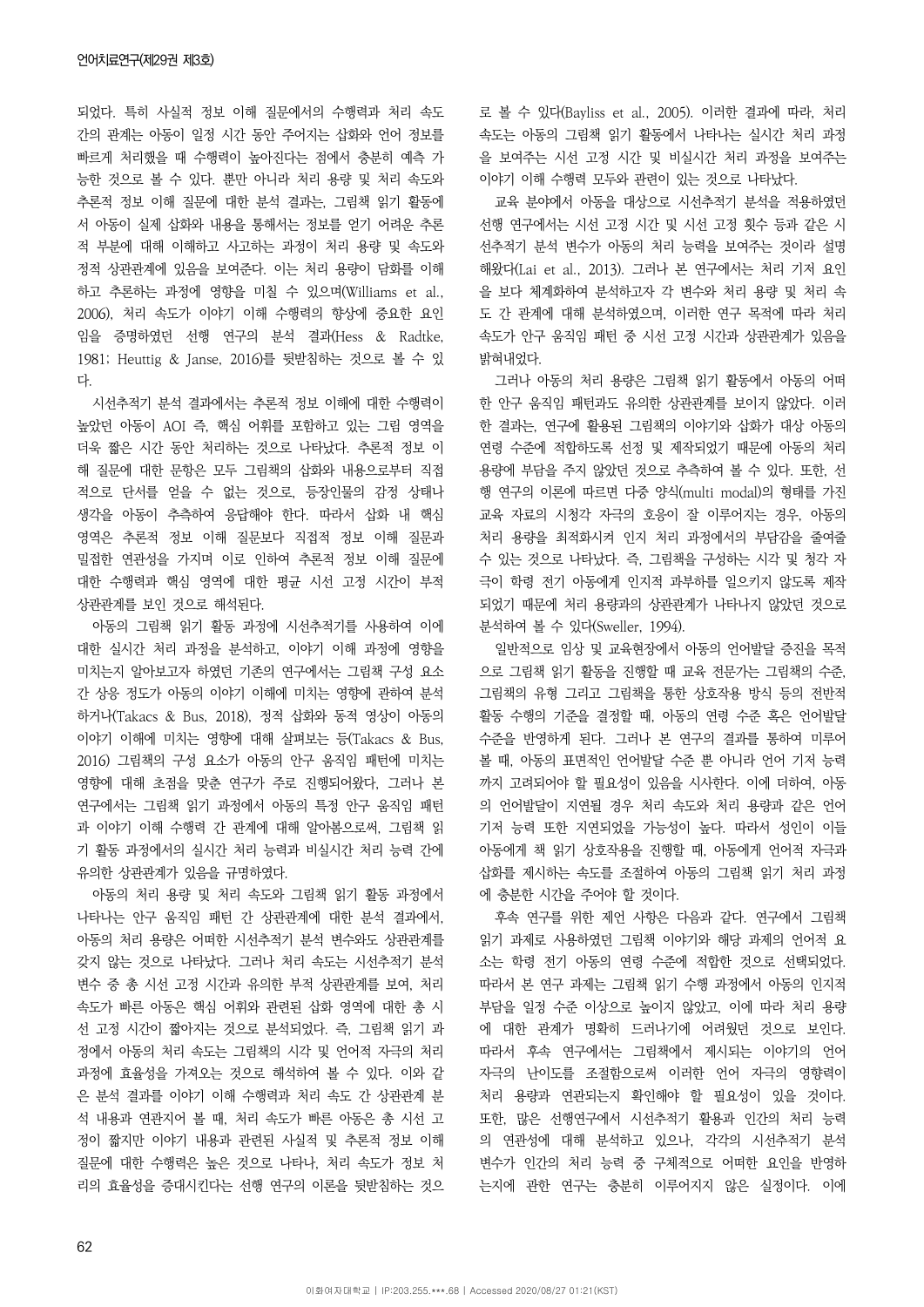되었다. 특히 사실적 정보 이해 질문에서의 수행력과 처리 속도 간의 관계는 아동이 일정 시간 동안 주어지는 삽화와 언어 정보를 빠르게 처리했을 때 수행력이 높아진다는 점에서 충분히 예측 가 능한 것으로 볼 수 있다. 뿐만 아니라 처리 용량 및 처리 속도와 추론적 정보 이해 질문에 대한 분석 결과는, 그림책 읽기 활동에 서 아동이 실제 삽화와 내용을 통해서는 정보를 얻기 어려운 추론 적 부분에 대해 이해하고 사고하는 과정이 처리 용량 및 속도와 정적 상관관계에 있음을 보여준다. 이는 처리 용량이 담화를 이해 하고 추론하는 과정에 영향을 미칠 수 있으며(Williams et al., 2006), 처리 속도가 이야기 이해 수행력의 향상에 중요한 요인 임을 증명하였던 선행 연구의 분석 결과(Hess & Radtke, 1981; Heuttig & Janse, 2016)를 뒷받침하는 것으로 볼 수 있 다.

시선추적기 분석 결과에서는 추론적 정보 이해에 대한 수행력이 높았던 아동이 AOI 즉, 핵심 어휘를 포함하고 있는 그림 영역을 더욱 짧은 시간 동안 처리하는 것으로 나타났다. 추론적 정보 이 해 질문에 대한 문항은 모두 그림책의 삽화와 내용으로부터 직접 적으로 단서를 얻을 수 없는 것으로, 등장인물의 감정 상태나 생각을 아동이 추측하여 응답해야 한다. 따라서 삽화 내 핵심 영역은 추론적 정보 이해 질문보다 직접적 정보 이해 질문과 밀접한 연관성을 가지며 이로 인하여 추론적 정보 이해 질문에 대한 수행력과 핵심 영역에 대한 평균 시선 고정 시간이 부적 상관관계를 보인 것으로 해석된다.

아동의 그림책 읽기 활동 과정에 시선추적기를 사용하여 이에 대한 실시간 처리 과정을 분석하고, 이야기 이해 과정에 영향을 미치는지 알아보고자 하였던 기존의 연구에서는 그림책 구성 요소 간 상응 정도가 아동의 이야기 이해에 미치는 영향에 관하여 분석 하거나(Takacs & Bus, 2018), 정적 삽화와 동적 영상이 아동의 이야기 이해에 미치는 영향에 대해 살펴보는 등(Takacs & Bus, 2016) 그림책의 구성 요소가 아동의 안구 움직임 패턴에 미치는 영향에 대해 초점을 맞춘 연구가 주로 진행되어왔다, 그러나 본 연구에서는 그림책 읽기 과정에서 아동의 특정 안구 움직임 패턴 과 이야기 이해 수행력 간 관계에 대해 알아봄으로써, 그림책 읽 기 활동 과정에서의 실시간 처리 능력과 비실시간 처리 능력 간에 유의한 상관관계가 있음을 규명하였다.

아동의 처리 용량 및 처리 속도와 그림책 읽기 활동 과정에서 나타나는 안구 움직임 패턴 간 상관관계에 대한 분석 결과에서, 아동의 처리 용량은 어떠한 시선추적기 분석 변수와도 상관관계를 갖지 않는 것으로 나타났다. 그러나 처리 속도는 시선추적기 분석 변수 중 총 시선 고정 시간과 유의한 부적 상관관계를 보여, 처리 속도가 빠른 아동은 핵심 어휘와 관련된 삽화 영역에 대한 총 시 선 고정 시간이 짧아지는 것으로 분석되었다. 즉, 그림책 읽기 과 정에서 아동의 처리 속도는 그림책의 시각 및 언어적 자극의 처리 과정에 효율성을 가져오는 것으로 해석하여 볼 수 있다. 이와 같 은 분석 결과를 이야기 이해 수행력과 처리 속도 간 상관관계 분 석 내용과 연관지어 볼 때, 처리 속도가 빠른 아동은 총 시선 고 정이 짧지만 이야기 내용과 관련된 사실적 및 추론적 정보 이해 질문에 대한 수행력은 높은 것으로 나타나, 처리 속도가 정보 처 리의 효율성을 증대시킨다는 선행 연구의 이론을 뒷받침하는 것으 로 볼 수 있다(Bayliss et al., 2005). 이러한 결과에 따라, 처리 속도는 아동의 그림책 읽기 활동에서 나타나는 실시간 처리 과정 을 보여주는 시선 고정 시간 및 비실시간 처리 과정을 보여주는 이야기 이해 수행력 모두와 관련이 있는 것으로 나타났다.

교육 분야에서 아동을 대상으로 시선추적기 분석을 적용하였던 선행 연구에서는 시선 고정 시간 및 시선 고정 횟수 등과 같은 시 선추적기 분석 변수가 아동의 처리 능력을 보여주는 것이라 설명 해왔다(Lai et al., 2013). 그러나 본 연구에서는 처리 기저 요인 을 보다 체계화하여 분석하고자 각 변수와 처리 용량 및 처리 속 도 간 관계에 대해 분석하였으며, 이러한 연구 목적에 따라 처리 속도가 안구 움직임 패턴 중 시선 고정 시간과 상관관계가 있음을 밝혀내었다.

그러나 아동의 처리 용량은 그림책 읽기 활동에서 아동의 어떠 한 안구 움직임 패턴과도 유의한 상관관계를 보이지 않았다. 이러 한 결과는, 연구에 활용된 그림책의 이야기와 삽화가 대상 아동의 연령 수준에 적합하도록 선정 및 제작되었기 때문에 아동의 처리 용량에 부담을 주지 않았던 것으로 추측하여 볼 수 있다. 또한, 선 행 연구의 이론에 따르면 다중 양식(multi modal)의 형태를 가진 교육 자료의 시청각 자극의 호응이 잘 이루어지는 경우, 아동의 처리 용량을 최적화시켜 인지 처리 과정에서의 부담감을 줄여줄 수 있는 것으로 나타났다. 즉, 그림책을 구성하는 시각 및 청각 자 극이 학령 전기 아동에게 인지적 과부하를 일으키지 않도록 제작 되었기 때문에 처리 용량과의 상관관계가 나타나지 않았던 것으로 분석하여 볼 수 있다(Sweller, 1994).

일반적으로 임상 및 교육현장에서 아동의 언어발달 증진을 목적 으로 그림책 읽기 활동을 진행할 때 교육 전문가는 그림책의 수준, 그림책의 유형 그리고 그림책을 통한 상호작용 방식 등의 전반적 활동 수행의 기준을 결정할 때, 아동의 연령 수준 혹은 언어발달 수준을 반영하게 된다. 그러나 본 연구의 결과를 통하여 미루어 볼 때, 아동의 표면적인 언어발달 수준 뿐 아니라 언어 기저 능력 까지 고려되어야 할 필요성이 있음을 시사한다. 이에 더하여, 아동 의 언어발달이 지연될 경우 처리 속도와 처리 용량과 같은 언어 기저 능력 또한 지연되었을 가능성이 높다. 따라서 성인이 이들 아동에게 책 읽기 상호작용을 진행할 때, 아동에게 언어적 자극과 삽화를 제시하는 속도를 조절하여 아동의 그림책 읽기 처리 과정 에 충분한 시간을 주어야 할 것이다.

후속 연구를 위한 제언 사항은 다음과 같다. 연구에서 그림책 읽기 과제로 사용하였던 그림책 이야기와 해당 과제의 언어적 요 소는 학령 전기 아동의 연령 수준에 적합한 것으로 선택되었다. 따라서 본 연구 과제는 그림책 읽기 수행 과정에서 아동의 인지적 부담을 일정 수준 이상으로 높이지 않았고, 이에 따라 처리 용량 에 대한 관계가 명확히 드러나기에 어려웠던 것으로 보인다. 따라서 후속 연구에서는 그림책에서 제시되는 이야기의 언어 자극의 난이도를 조절함으로써 이러한 언어 자극의 영향력이 처리 용량과 연관되는지 확인해야 할 필요성이 있을 것이다. 또한, 많은 선행연구에서 시선추적기 활용과 인간의 처리 능력 의 연관성에 대해 분석하고 있으나, 각각의 시선추적기 분석 변수가 인간의 처리 능력 중 구체적으로 어떠한 요인을 반영하 는지에 관한 연구는 충분히 이루어지지 않은 실정이다. 이에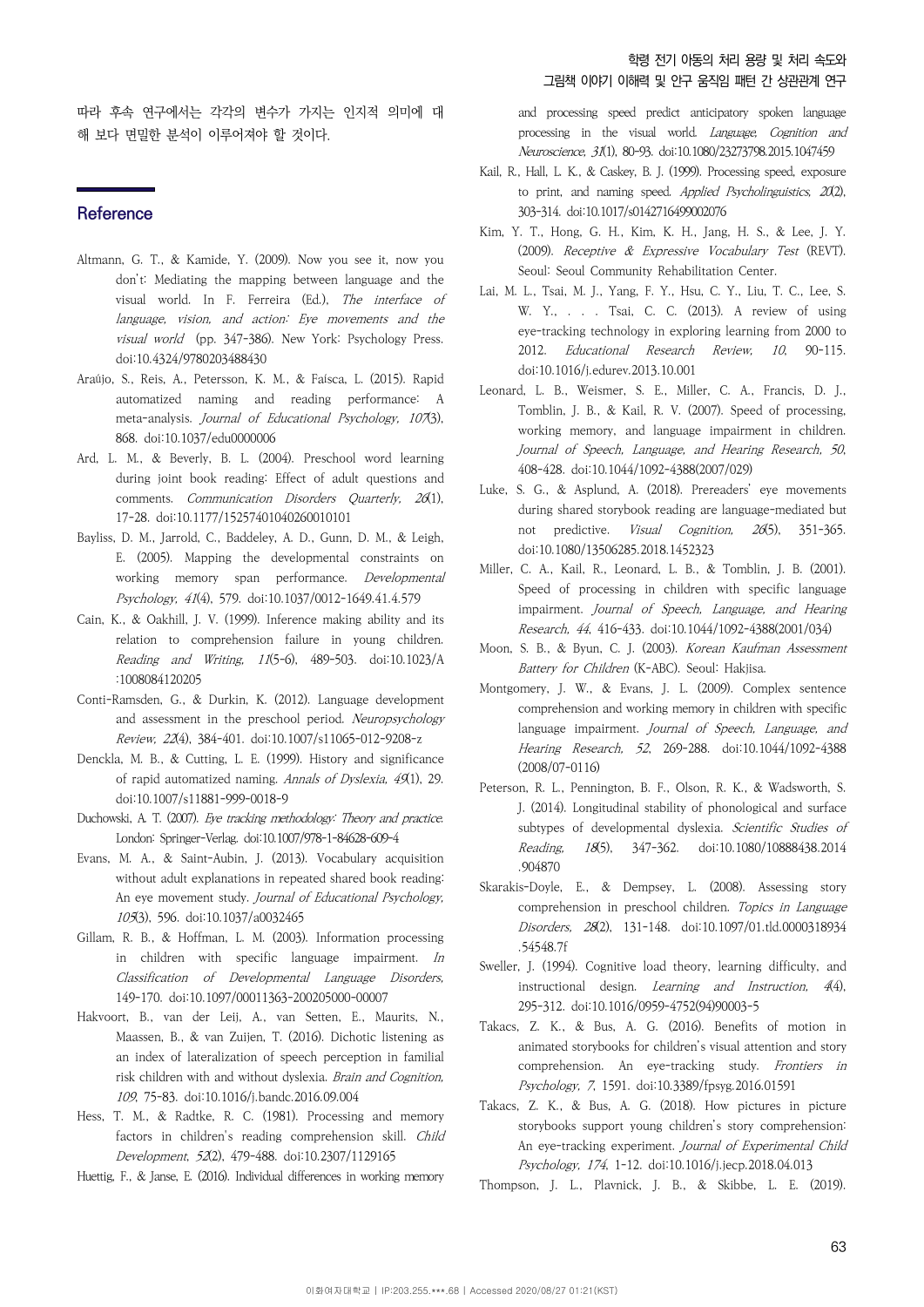따라 후속 연구에서는 각각의 변수가 가지는 인지적 의미에 대 해 보다 면밀한 분석이 이루어져야 할 것이다.

## **Reference**

- Altmann, G. T., & Kamide, Y. (2009). Now you see it, now you don't: Mediating the mapping between language and the visual world. In F. Ferreira (Ed.), The interface of language, vision, and action: Eye movements and the visual world (pp. 347-386). New York: Psychology Press. doi:10.4324/9780203488430
- Araújo, S., Reis, A., Petersson, K. M., & Faísca, L. (2015). Rapid automatized naming and reading performance: A meta-analysis. *Journal of Educational Psychology, 107*(3), 868. doi:10.1037/edu0000006
- Ard, L. M., & Beverly, B. L. (2004). Preschool word learning during joint book reading: Effect of adult questions and comments. Communication Disorders Quarterly, 26(1), 17-28. doi:10.1177/15257401040260010101
- Bayliss, D. M., Jarrold, C., Baddeley, A. D., Gunn, D. M., & Leigh, E. (2005). Mapping the developmental constraints on working memory span performance. Developmental Psychology, 41(4), 579. doi:10.1037/0012-1649.41.4.579
- Cain, K., & Oakhill, J. V. (1999). Inference making ability and its relation to comprehension failure in young children. Reading and Writing, 11(5-6), 489-503. doi:10.1023/A :1008084120205
- Conti-Ramsden, G., & Durkin, K. (2012). Language development and assessment in the preschool period. Neuropsychology Review, 22(4), 384-401. doi:10.1007/s11065-012-9208-z
- Denckla, M. B., & Cutting, L. E. (1999). History and significance of rapid automatized naming. Annals of Dyslexia, 49(1), 29. doi:10.1007/s11881-999-0018-9
- Duchowski, A. T. (2007). Eye tracking methodology: Theory and practice. London: Springer-Verlag. doi:10.1007/978-1-84628-609-4
- Evans, M. A., & Saint-Aubin, J. (2013). Vocabulary acquisition without adult explanations in repeated shared book reading: An eye movement study. Journal of Educational Psychology, 105(3), 596. doi:10.1037/a0032465
- Gillam, R. B., & Hoffman, L. M. (2003). Information processing in children with specific language impairment. In Classification of Developmental Language Disorders, 149-170. doi:10.1097/00011363-200205000-00007
- Hakvoort, B., van der Leij, A., van Setten, E., Maurits, N., Maassen, B., & van Zuijen, T. (2016). Dichotic listening as an index of lateralization of speech perception in familial risk children with and without dyslexia. Brain and Cognition, 109, 75-83. doi:10.1016/j.bandc.2016.09.004
- Hess, T. M., & Radtke, R. C. (1981). Processing and memory factors in children's reading comprehension skill. Child Development, 52(2), 479-488. doi:10.2307/1129165
- Huettig, F., & Janse, E. (2016). Individual differences in working memory

and processing speed predict anticipatory spoken language processing in the visual world. Language, Cognition and Neuroscience, 31(1), 80-93. doi:10.1080/23273798.2015.1047459

- Kail, R., Hall, L. K., & Caskey, B. J. (1999). Processing speed, exposure to print, and naming speed. Applied Psycholinguistics, 20(2), 303-314. doi:10.1017/s0142716499002076
- Kim, Y. T., Hong, G. H., Kim, K. H., Jang, H. S., & Lee, J. Y. (2009). Receptive & Expressive Vocabulary Test (REVT). Seoul: Seoul Community Rehabilitation Center.
- Lai, M. L., Tsai, M. J., Yang, F. Y., Hsu, C. Y., Liu, T. C., Lee, S. W. Y., . . . Tsai, C. C. (2013). A review of using eye-tracking technology in exploring learning from 2000 to 2012. Educational Research Review, 10, 90-115. doi:10.1016/j.edurev.2013.10.001
- Leonard, L. B., Weismer, S. E., Miller, C. A., Francis, D. J., Tomblin, J. B., & Kail, R. V. (2007). Speed of processing, working memory, and language impairment in children. Journal of Speech, Language, and Hearing Research, 50, 408-428. doi:10.1044/1092-4388(2007/029)
- Luke, S. G., & Asplund, A. (2018). Prereaders' eye movements during shared storybook reading are language-mediated but not predictive. *Visual Cognition*, 26(5), 351-365. doi:10.1080/13506285.2018.1452323
- Miller, C. A., Kail, R., Leonard, L. B., & Tomblin, J. B. (2001). Speed of processing in children with specific language impairment. Journal of Speech, Language, and Hearing Research, 44, 416-433. doi:10.1044/1092-4388(2001/034)
- Moon, S. B., & Byun, C. J. (2003). Korean Kaufman Assessment Battery for Children (K-ABC). Seoul: Hakjisa.
- Montgomery, J. W., & Evans, J. L. (2009). Complex sentence comprehension and working memory in children with specific language impairment. Journal of Speech, Language, and Hearing Research, 52, 269-288. doi:10.1044/1092-4388 (2008/07-0116)
- Peterson, R. L., Pennington, B. F., Olson, R. K., & Wadsworth, S. J. (2014). Longitudinal stability of phonological and surface subtypes of developmental dyslexia. Scientific Studies of Reading, 18(5), 347-362. doi:10.1080/10888438.2014 .904870
- Skarakis-Doyle, E., & Dempsey, L. (2008). Assessing story comprehension in preschool children. Topics in Language Disorders, 28(2), 131-148. doi:10.1097/01.tld.0000318934 .54548.7f
- Sweller, J. (1994). Cognitive load theory, learning difficulty, and instructional design. Learning and Instruction, 4(4), 295-312. doi:10.1016/0959-4752(94)90003-5
- Takacs, Z. K., & Bus, A. G. (2016). Benefits of motion in animated storybooks for children's visual attention and story comprehension. An eye-tracking study. Frontiers in Psychology, 7, 1591. doi:10.3389/fpsyg.2016.01591
- Takacs, Z. K., & Bus, A. G. (2018). How pictures in picture storybooks support young children's story comprehension: An eye-tracking experiment. Journal of Experimental Child Psychology, 174, 1-12. doi:10.1016/j.jecp.2018.04.013
- Thompson, J. L., Plavnick, J. B., & Skibbe, L. E. (2019).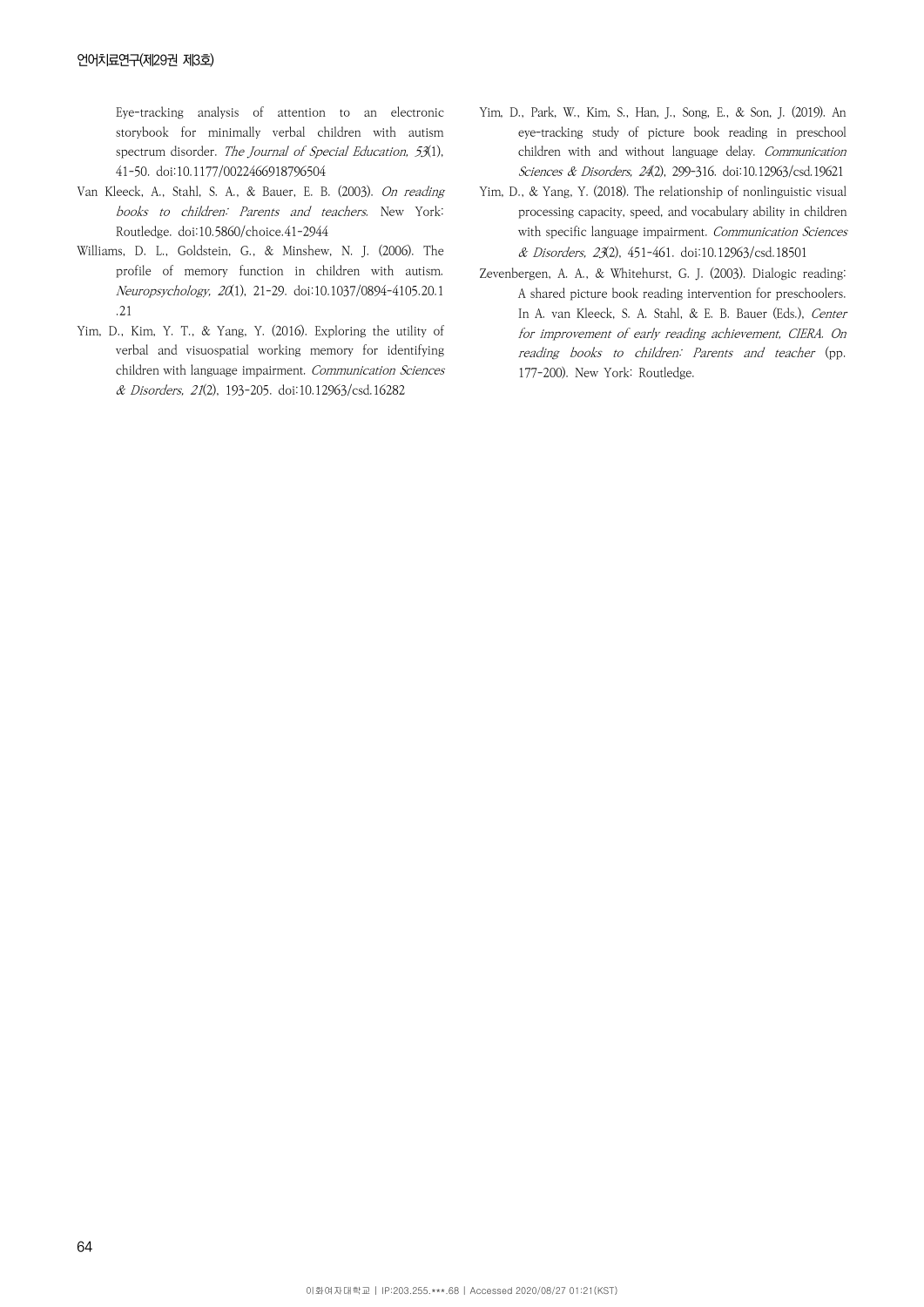Eye-tracking analysis of attention to an electronic storybook for minimally verbal children with autism spectrum disorder. The Journal of Special Education, 53(1), 41-50. doi:10.1177/0022466918796504

- Van Kleeck, A., Stahl, S. A., & Bauer, E. B. (2003). On reading books to children: Parents and teachers. New York: Routledge. doi:10.5860/choice.41-2944
- Williams, D. L., Goldstein, G., & Minshew, N. J. (2006). The profile of memory function in children with autism. Neuropsychology, 20(1), 21-29. doi:10.1037/0894-4105.20.1 .21
- Yim, D., Kim, Y. T., & Yang, Y. (2016). Exploring the utility of verbal and visuospatial working memory for identifying children with language impairment. Communication Sciences & Disorders, 21(2), 193-205. doi:10.12963/csd.16282
- Yim, D., Park, W., Kim, S., Han, J., Song, E., & Son, J. (2019). An eye-tracking study of picture book reading in preschool children with and without language delay. Communication Sciences & Disorders, 24(2), 299-316. doi:10.12963/csd.19621
- Yim, D., & Yang, Y. (2018). The relationship of nonlinguistic visual processing capacity, speed, and vocabulary ability in children with specific language impairment. Communication Sciences & Disorders, 23(2), 451-461. doi:10.12963/csd.18501
- Zevenbergen, A. A., & Whitehurst, G. J. (2003). Dialogic reading: A shared picture book reading intervention for preschoolers. In A. van Kleeck, S. A. Stahl, & E. B. Bauer (Eds.), Center for improvement of early reading achievement, CIERA. On reading books to children: Parents and teacher (pp. 177-200). New York: Routledge.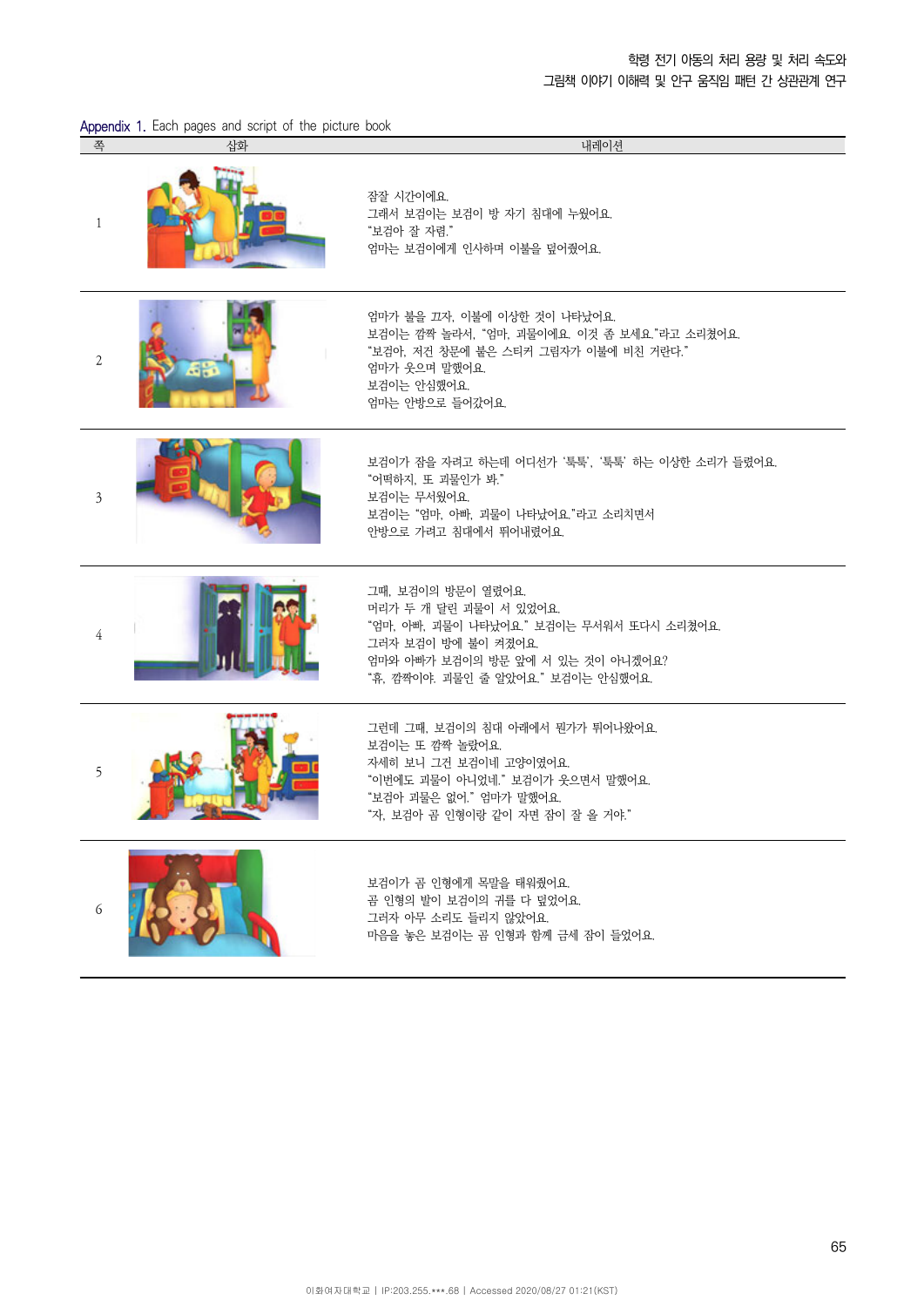학령 전기 아동의 처리 용량 및 처리 속도와

그림책 이야기 이해력 및 안구 움직임 패턴 간 상관관계 연구

| Appendix 1. Each pages and script of the picture book |  |  |  |  |  |  |  |  |
|-------------------------------------------------------|--|--|--|--|--|--|--|--|
|-------------------------------------------------------|--|--|--|--|--|--|--|--|

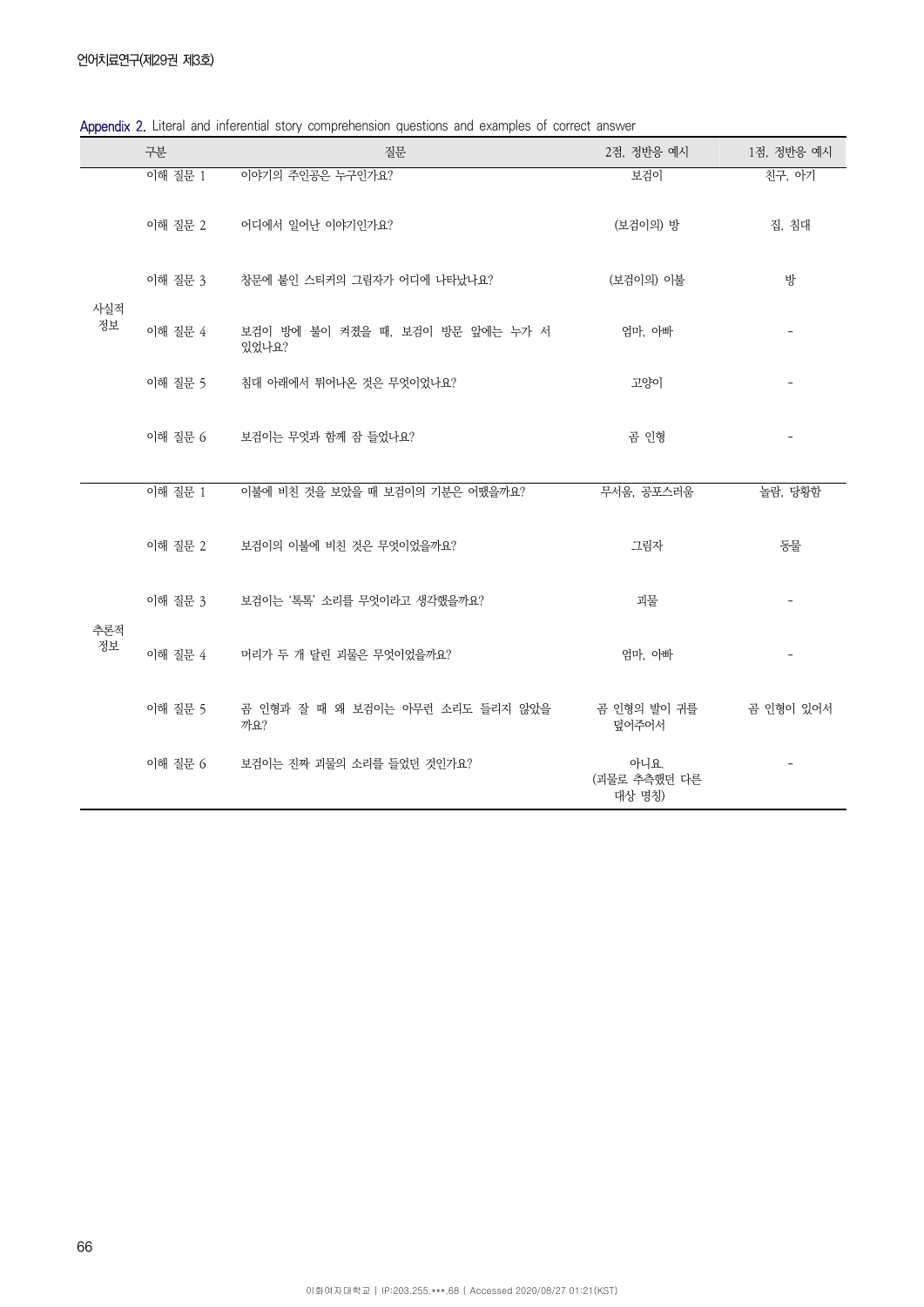|           | 구분      | 질문                                        | 2점, 정반응 예시                     | 1점, 정반응 예시 |
|-----------|---------|-------------------------------------------|--------------------------------|------------|
| 사실적       | 이해 질문 1 | 이야기의 주인공은 누구인가요?                          | 보검이                            | 친구, 아기     |
|           | 이해 질문 2 | 어디에서 일어난 이야기인가요?                          | (보검이의) 방                       | 집, 침대      |
|           | 이해 질문 3 | 창문에 붙인 스티커의 그림자가 어디에 나타났나요?               | (보검이의) 이불                      | 방          |
| 정보        | 이해 질문 4 | 보검이 방에 불이 켜졌을 때, 보검이 방문 앞에는 누가 서<br>있었나요? | 엄마, 아빠                         |            |
|           | 이해 질문 5 | 침대 아래에서 튀어나온 것은 무엇이었나요?                   | 고양이                            |            |
|           | 이해 질문 6 | 보검이는 무엇과 함께 잠 들었나요?                       | 곰 인형                           |            |
|           | 이해 질문 1 | 이불에 비친 것을 보았을 때 보검이의 기분은 어땠을까요?           | 무서움, 공포스러움                     | 놀람, 당황함    |
|           | 이해 질문 2 | 보검이의 이불에 비친 것은 무엇이었을까요?                   | 그림자                            | 동물         |
|           | 이해 질문 3 | 보검이는 '톡톡' 소리를 무엇이라고 생각했을까요?               | 괴물                             |            |
| 추론적<br>정보 | 이해 질문 4 | 머리가 두 개 달린 괴물은 무엇이었을까요?                   | 엄마, 아빠                         |            |
|           | 이해 질문 5 | 곰 인형과 잘 때 왜 보검이는 아무런 소리도 들리지 않았을<br>까요?   | 곰 인형의 발이 귀를<br>덮어주어서           | 곰 인형이 있어서  |
|           | 이해 질문 6 | 보검이는 진짜 괴물의 소리를 들었던 것인가요?                 | 아니요.<br>(괴물로 추측했던 다른<br>대상 명칭) |            |

Appendix 2. Literal and inferential story comprehension questions and examples of correct answer